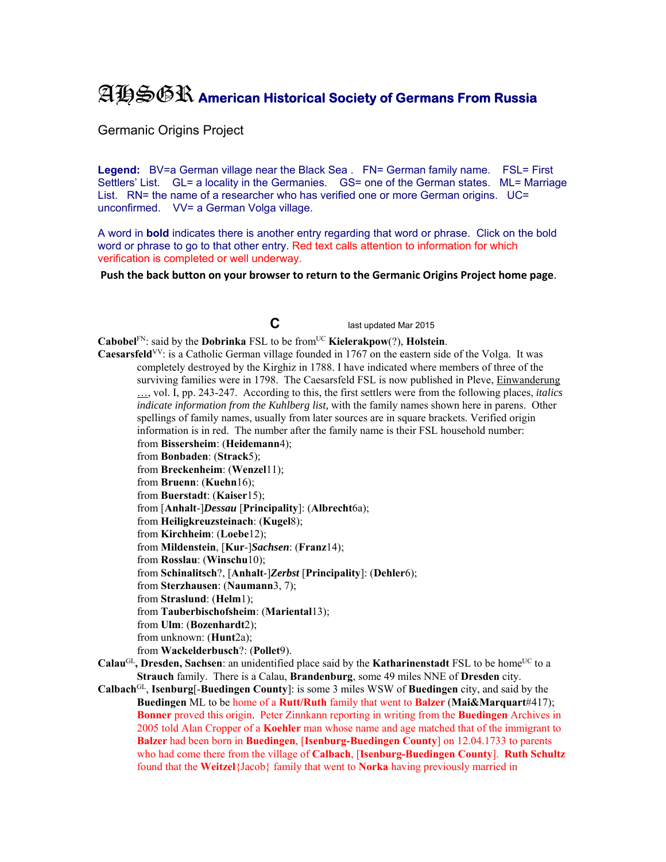## AHSGR **American Historical Society of Germans From Russia**

Germanic Origins Project

Legend: BV=a German village near the Black Sea . FN= German family name. FSL= First Settlers' List. GL= a locality in the Germanies. GS= one of the German states. ML= Marriage List. RN= the name of a researcher who has verified one or more German origins. UC= unconfirmed. VV= a German Volga village.

A word in **bold** indicates there is another entry regarding that word or phrase. Click on the bold word or phrase to go to that other entry. Red text calls attention to information for which verification is completed or well underway.

**Push the back button on your browser to return to the Germanic Origins Project home page**.

**C** last updated Mar 2015

**Cabobel**<sup>FN</sup>: said by the **Dobrinka** FSL to be from<sup>UC</sup> **Kielerakpow**(?), **Holstein**.

**Caesarsfeld**VV: is a Catholic German village founded in 1767 on the eastern side of the Volga. It was completely destroyed by the Kirghiz in 1788. I have indicated where members of three of the surviving families were in 1798. The Caesarsfeld FSL is now published in Pleve, Einwanderung …, vol. I, pp. 243-247. According to this, the first settlers were from the following places, *italics indicate information from the Kuhlberg list,* with the family names shown here in parens. Other spellings of family names, usually from later sources are in square brackets. Verified origin information is in red. The number after the family name is their FSL household number: from **Bissersheim**: (**Heidemann**4);

from **Bonbaden**: (**Strack**5);

from **Breckenheim**: (**Wenzel**11);

from **Bruenn**: (**Kuehn**16);

from **Buerstadt**: (**Kaiser**15);

from [**Anhalt**-]*Dessau* [**Principality**]: (**Albrecht**6a);

from **Heiligkreuzsteinach**: (**Kugel**8);

from **Kirchheim**: (**Loebe**12);

from **Mildenstein**, [**Kur**-]*Sachsen*: (**Franz**14);

from **Rosslau**: (**Winschu**10);

from **Schinalitsch**?, [**Anhalt**-]*Zerbst* [**Principality**]: (**Dehler**6);

from **Sterzhausen**: (**Naumann**3, 7);

from **Straslund**: (**Helm**1);

from **Tauberbischofsheim**: (**Mariental**13);

from **Ulm**: (**Bozenhardt**2);

from unknown: (**Hunt**2a);

from **Wackelderbusch**?: (**Pollet**9).

- **Calau<sup>GL</sup>, Dresden, Sachsen**: an unidentified place said by the **Katharinenstadt** FSL to be home<sup>UC</sup> to a **Strauch** family. There is a Calau, **Brandenburg**, some 49 miles NNE of **Dresden** city.
- **Calbach**GL, **Isenburg**[-**Buedingen County**]: is some 3 miles WSW of **Buedingen** city, and said by the **Buedingen** ML to be home of a **Rutt/Ruth** family that went to **Balzer** (**Mai&Marquart**#417); **Bonner** proved this origin. Peter Zinnkann reporting in writing from the **Buedingen** Archives in 2005 told Alan Cropper of a **Koehler** man whose name and age matched that of the immigrant to **Balzer** had been born in **Buedingen**, [**Isenburg-Buedingen County**] on 12.04.1733 to parents who had come there from the village of **Calbach**, [**Isenburg-Buedingen County**]. **Ruth Schultz** found that the **Weitzel**{Jacob} family that went to **Norka** having previously married in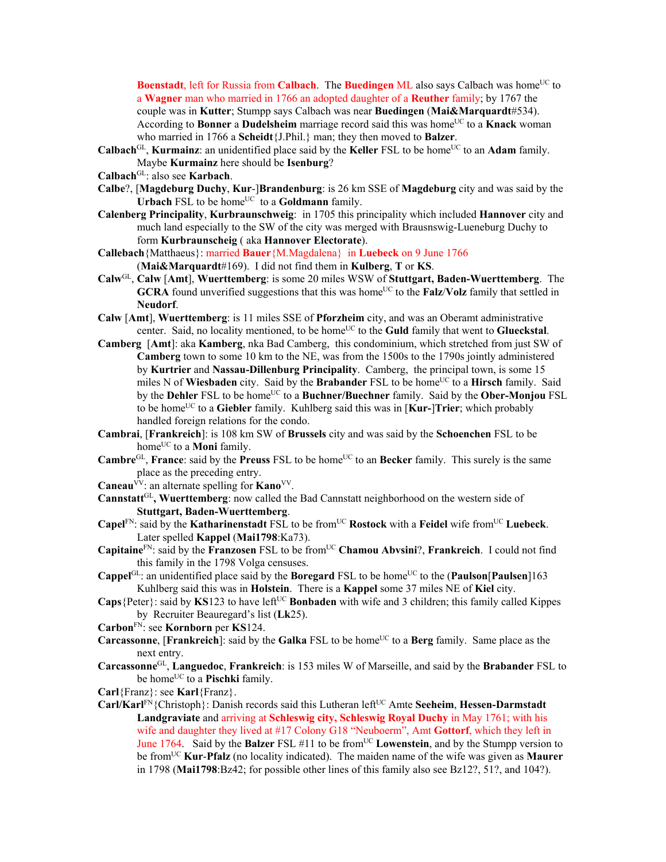**Boenstadt**, left for Russia from **Calbach**. The **Buedingen** ML also says Calbach was home<sup>UC</sup> to a **Wagner** man who married in 1766 an adopted daughter of a **Reuther** family; by 1767 the couple was in **Kutter**; Stumpp says Calbach was near **Buedingen** (**Mai&Marquardt**#534). According to **Bonner** a **Dudelsheim** marriage record said this was home<sup>UC</sup> to a **Knack** woman who married in 1766 a **Scheidt**{J.Phil.} man; they then moved to **Balzer**.

- **Calbach**<sup>GL</sup>, **Kurmainz**: an unidentified place said by the **Keller** FSL to be home<sup>UC</sup> to an **Adam** family. Maybe **Kurmainz** here should be **Isenburg**?
- **Calbach**GL: also see **Karbach**.
- **Calbe**?, [**Magdeburg Duchy**, **Kur**-]**Brandenburg**: is 26 km SSE of **Magdeburg** city and was said by the **Urbach** FSL to be home<sup>UC</sup> to a **Goldmann** family.
- **Calenberg Principality**, **Kurbraunschweig**: in 1705 this principality which included **Hannover** city and much land especially to the SW of the city was merged with Brausnswig-Lueneburg Duchy to form **Kurbraunscheig** ( aka **Hannover Electorate**).
- **Callebach**{Matthaeus}: married **Bauer**{M.Magdalena} in **Luebeck** on 9 June 1766 (**Mai&Marquardt**#169). I did not find them in **Kulberg**, **T** or **KS**.
- **Calw**GL, **Calw** [**Amt**], **Wuerttemberg**: is some 20 miles WSW of **Stuttgart, Baden-Wuerttemberg**. The **GCRA** found unverified suggestions that this was home<sup>UC</sup> to the **Falz/Volz** family that settled in **Neudorf**.
- **Calw** [**Amt**], **Wuerttemberg**: is 11 miles SSE of **Pforzheim** city, and was an Oberamt administrative center. Said, no locality mentioned, to be home<sup>UC</sup> to the **Guld** family that went to **Glueckstal**.
- **Camberg** [**Amt**]: aka **Kamberg**, nka Bad Camberg, this condominium, which stretched from just SW of **Camberg** town to some 10 km to the NE, was from the 1500s to the 1790s jointly administered by **Kurtrier** and **Nassau-Dillenburg Principality**. Camberg, the principal town, is some 15 miles N of **Wiesbaden** city. Said by the **Brabander** FSL to be home<sup>UC</sup> to a **Hirsch** family. Said by the **Dehler** FSL to be home<sup>UC</sup> to a **Buchner/Buechner** family. Said by the **Ober-Monjou** FSL to be homeUC to a **Giebler** family. Kuhlberg said this was in [**Kur-**]**Trier**; which probably handled foreign relations for the condo.
- **Cambrai**, [**Frankreich**]: is 108 km SW of **Brussels** city and was said by the **Schoenchen** FSL to be home<sup>UC</sup> to a **Moni** family.
- **Cambre**<sup>GL</sup>, **France**: said by the **Preuss** FSL to be home<sup>UC</sup> to an **Becker** family. This surely is the same place as the preceding entry.
- **Caneau**<sup>VV</sup>: an alternate spelling for **Kano**<sup>VV</sup>.
- **Cannstatt**GL**, Wuerttemberg**: now called the Bad Cannstatt neighborhood on the western side of **Stuttgart, Baden-Wuerttemberg**.
- **Capel**<sup>FN</sup>: said by the **Katharinenstadt** FSL to be from<sup>UC</sup> **Rostock** with a **Feidel** wife from<sup>UC</sup> Luebeck. Later spelled **Kappel** (**Mai1798**:Ka73).
- **Capitaine**<sup>FN</sup>: said by the **Franzosen** FSL to be from<sup>UC</sup> **Chamou Abvsini**?, **Frankreich**. I could not find this family in the 1798 Volga censuses.
- **Cappel**<sup>GL:</sup> an unidentified place said by the **Boregard** FSL to be home<sup>UC</sup> to the (**Paulson**[**Paulsen**]163 Kuhlberg said this was in **Holstein**. There is a **Kappel** some 37 miles NE of **Kiel** city.
- **Caps** {Peter}: said by **KS**123 to have left<sup>UC</sup> **Bonbaden** with wife and 3 children; this family called Kippes by Recruiter Beauregard's list (**Lk**25).
- **Carbon**FN: see **Kornborn** per **KS**124.
- **Carcassonne**, [**Frankreich**]: said by the **Galka** FSL to be home<sup>UC</sup> to a **Berg** family. Same place as the next entry.
- **Carcassonne**GL, **Languedoc**, **Frankreich**: is 153 miles W of Marseille, and said by the **Brabander** FSL to be home<sup>UC</sup> to a **Pischki** family.
- **Carl**{Franz}: see **Karl**{Franz}.
- Carl/Karl<sup>FN</sup>{Christoph}: Danish records said this Lutheran left<sup>UC</sup> Amte Seeheim, Hessen-Darmstadt **Landgraviate** and arriving at **Schleswig city, Schleswig Royal Duchy** in May 1761; with his wife and daughter they lived at #17 Colony G18 "Neuboerm", Amt **Gottorf**, which they left in June 1764. Said by the **Balzer** FSL #11 to be fromUC **Lowenstein**, and by the Stumpp version to be fromUC **Kur**-**Pfalz** (no locality indicated). The maiden name of the wife was given as **Maurer** in 1798 (**Mai1798**:Bz42; for possible other lines of this family also see Bz12?, 51?, and 104?).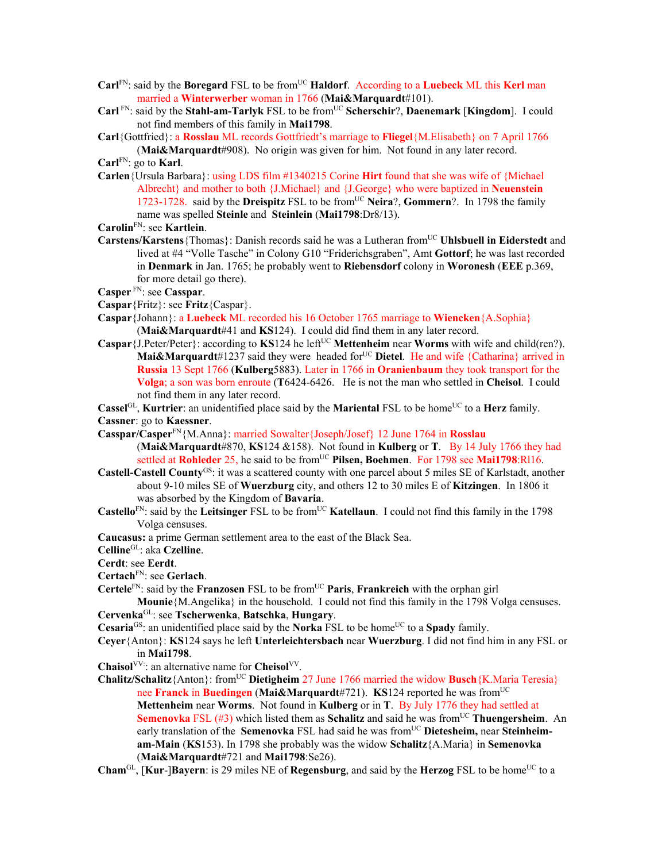- **Carl**<sup>FN</sup>: said by the **Boregard** FSL to be from<sup>UC</sup> **Haldorf**. According to a **Luebeck** ML this **Kerl** man married a **Winterwerber** woman in 1766 (**Mai&Marquardt**#101).
- **Carl** FN: said by the **Stahl-am-Tarlyk** FSL to be from<sup>UC</sup> **Scherschir**?, **Daenemark** [**Kingdom**]. I could not find members of this family in **Mai1798**.
- **Carl**{Gottfried}: a **Rosslau** ML records Gottfriedt's marriage to **Fliegel**{M.Elisabeth} on 7 April 1766
- (**Mai&Marquardt**#908). No origin was given for him. Not found in any later record. **Carl**FN: go to **Karl**.
- **Carlen**{Ursula Barbara}: using LDS film #1340215 Corine **Hirt** found that she was wife of {Michael Albrecht} and mother to both {J.Michael} and {J.George} who were baptized in **Neuenstein**  1723-1728. said by the **Dreispitz** FSL to be from<sup>UC</sup> Neira?, **Gommern**?. In 1798 the family name was spelled **Steinle** and **Steinlein** (**Mai1798**:Dr8/13).
- **Carolin**FN: see **Kartlein**.
- **Carstens/Karstens** {Thomas}: Danish records said he was a Lutheran from<sup>UC</sup> Uhlsbuell in Eiderstedt and lived at #4 "Volle Tasche" in Colony G10 "Friderichsgraben", Amt **Gottorf**; he was last recorded in **Denmark** in Jan. 1765; he probably went to **Riebensdorf** colony in **Woronesh** (**EEE** p.369, for more detail go there).
- **Casper** FN: see **Casspar**.
- **Caspar**{Fritz}: see **Fritz**{Caspar}.
- **Caspar**{Johann}: a **Luebeck** ML recorded his 16 October 1765 marriage to **Wiencken**{A.Sophia} (**Mai&Marquardt**#41 and **KS**124). I could did find them in any later record.
- **Caspar** { $J.$  Peter/Peter}: according to **KS**124 he left<sup>UC</sup> **Mettenheim** near **Worms** with wife and child(ren?). **Mai&Marquardt**#1237 said they were headed for<sup>UC</sup> Dietel. He and wife {Catharina} arrived in **Russia** 13 Sept 1766 (**Kulberg**5883). Later in 1766 in **Oranienbaum** they took transport for the **Volga**; a son was born enroute (**T**6424-6426. He is not the man who settled in **Cheisol**. I could not find them in any later record.
- **Cassel**<sup>GL</sup>, **Kurtrier**: an unidentified place said by the **Mariental** FSL to be home<sup>UC</sup> to a **Herz** family.

**Cassner**: go to **Kaessner**.

- **Casspar/Casper**FN{M.Anna}: married Sowalter{Joseph/Josef} 12 June 1764 in **Rosslau** (**Mai&Marquardt**#870, **KS**124 &158). Not found in **Kulberg** or **T**. By 14 July 1766 they had settled at **Rohleder** 25, he said to be from<sup>UC</sup> Pilsen, Boehmen. For 1798 see Mai1798:Rl16.
- **Castell-Castell County**GS: it was a scattered county with one parcel about 5 miles SE of Karlstadt, another about 9-10 miles SE of **Wuerzburg** city, and others 12 to 30 miles E of **Kitzingen**. In 1806 it was absorbed by the Kingdom of **Bavaria**.
- **Castello**<sup>FN</sup>: said by the **Leitsinger** FSL to be from<sup>UC</sup> **Katellaun**. I could not find this family in the 1798 Volga censuses.
- **Caucasus:** a prime German settlement area to the east of the Black Sea.
- **Celline**GL: aka **Czelline**.
- **Cerdt**: see **Eerdt**.
- **Certach**FN: see **Gerlach**.
- **Certele**<sup>FN</sup>: said by the **Franzosen** FSL to be from<sup>UC</sup> **Paris**, **Frankreich** with the orphan girl

**Mounie**{M.Angelika} in the household. I could not find this family in the 1798 Volga censuses. **Cervenka**GL: see **Tscherwenka**, **Batschka**, **Hungary**.

- **Cesaria<sup>GS</sup>:** an unidentified place said by the **Norka** FSL to be home<sup>UC</sup> to a **Spady** family.
- **Ceyer**{Anton}: **KS**124 says he left **Unterleichtersbach** near **Wuerzburg**. I did not find him in any FSL or in **Mai1798**.
- **Chaisol**VV:: an alternative name for **Cheisol**VV.
- **Chalitz/Schalitz**{Anton}: from<sup>UC</sup> **Dietigheim** 27 June 1766 married the widow **Busch**{K.Maria Teresia} nee **Franck** in **Buedingen** (**Mai&Marquardt**#721). **KS**124 reported he was fromUC **Mettenheim** near **Worms**.Not found in **Kulberg** or in **T**. By July 1776 they had settled at **Semenovka** FSL (#3) which listed them as **Schalitz** and said he was from<sup>UC</sup> **Thuengersheim**. An early translation of the Semenovka FSL had said he was from<sup>UC</sup> Dietesheim, near Steinheim**am-Main** (**KS**153). In 1798 she probably was the widow **Schalitz**{A.Maria} in **Semenovka** (**Mai&Marquardt**#721 and **Mai1798**:Se26).
- **Cham**GL, **[Kur-]Bayern**: is 29 miles NE of **Regensburg**, and said by the **Herzog** FSL to be home<sup>UC</sup> to a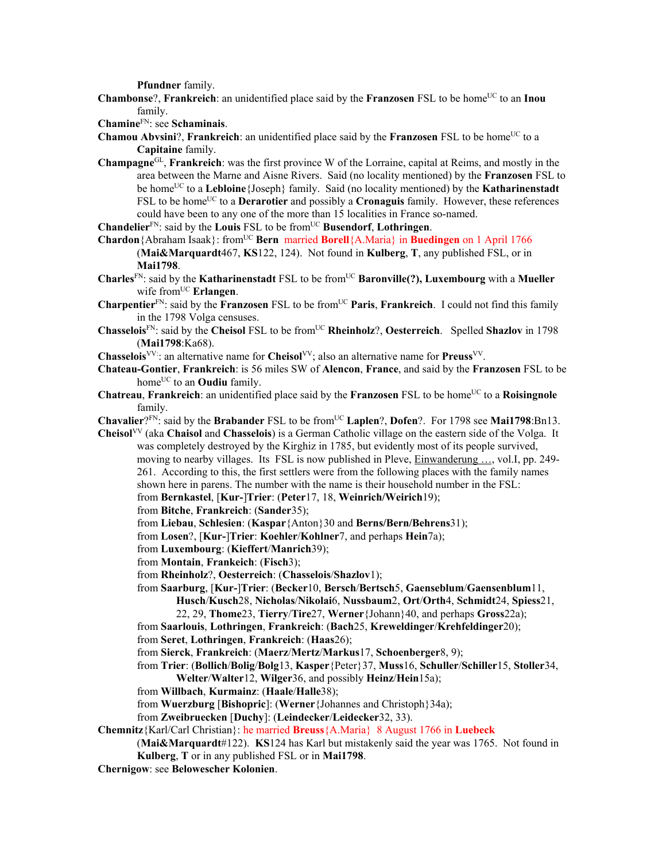**Pfundner** family.

**Chambonse**?, **Frankreich**: an unidentified place said by the **Franzosen** FSL to be home<sup>UC</sup> to an **Inou** family.

**Chamine**FN: see **Schaminais**.

- **Chamou Abvsini?, Frankreich**: an unidentified place said by the **Franzosen** FSL to be home<sup>UC</sup> to a **Capitaine** family.
- **Champagne**GL, **Frankreich**: was the first province W of the Lorraine, capital at Reims, and mostly in the area between the Marne and Aisne Rivers. Said (no locality mentioned) by the **Franzosen** FSL to be homeUC to a **Lebloine**{Joseph} family. Said (no locality mentioned) by the **Katharinenstadt** FSL to be home<sup>UC</sup> to a **Derarotier** and possibly a **Cronaguis** family. However, these references could have been to any one of the more than 15 localities in France so-named.

**Chandelier**<sup>FN</sup>: said by the **Louis** FSL to be from<sup>UC</sup> **Busendorf**, **Lothringen**.

**Chardon**{Abraham Isaak}: fromUC **Bern** married **Borell**{A.Maria} in **Buedingen** on 1 April 1766

- (**Mai&Marquardt**467, **KS**122, 124). Not found in **Kulberg**, **T**, any published FSL, or in **Mai1798**.
- **Charles**<sup>FN</sup>: said by the **Katharinenstadt** FSL to be from<sup>UC</sup> **Baronville(?), Luxembourg** with a **Mueller** wife from<sup>UC</sup> **Erlangen**.
- **Charpentier**<sup>FN</sup>: said by the **Franzosen** FSL to be from<sup>UC</sup> Paris, Frankreich. I could not find this family in the 1798 Volga censuses.
- **Chasselois**<sup>FN</sup>: said by the **Cheisol** FSL to be from<sup>UC</sup> **Rheinholz**?, **Oesterreich**. Spelled **Shazlov** in 1798 (**Mai1798**:Ka68).
- **Chasselois**VV:: an alternative name for **Cheisol**VV; also an alternative name for **Preuss**VV.
- **Chateau-Gontier**, **Frankreich**: is 56 miles SW of **Alencon**, **France**, and said by the **Franzosen** FSL to be home<sup>UC</sup> to an **Oudiu** family.
- **Chatreau**, **Frankreich**: an unidentified place said by the **Franzosen** FSL to be home<sup>UC</sup> to a **Roisingnole** family.
- **Chavalier**?FN: said by the **Brabander** FSL to be from<sup>UC</sup> **Laplen**?, **Dofen**?. For 1798 see **Mai1798**:Bn13.
- **Cheisol**VV (aka **Chaisol** and **Chasselois**) is a German Catholic village on the eastern side of the Volga. It was completely destroyed by the Kirghiz in 1785, but evidently most of its people survived, moving to nearby villages. Its FSL is now published in Pleve, Einwanderung …, vol.I, pp. 249- 261. According to this, the first settlers were from the following places with the family names shown here in parens. The number with the name is their household number in the FSL: from **Bernkastel**, [**Kur-**]**Trier**: (**Peter**17, 18, **Weinrich/Weirich**19);
	- from **Bitche**, **Frankreich**: (**Sander**35);

from **Liebau**, **Schlesien**: (**Kaspar**{Anton}30 and **Berns/Bern/Behrens**31);

- from **Losen**?, [**Kur-**]**Trier**: **Koehler**/**Kohlner**7, and perhaps **Hein**7a);
- from **Luxembourg**: (**Kieffert**/**Manrich**39);
- from **Montain**, **Frankeich**: (**Fisch**3);
- from **Rheinholz**?, **Oesterreich**: (**Chasselois**/**Shazlov**1);
- from **Saarburg**, [**Kur-**]**Trier**: (**Becker**10, **Bersch**/**Bertsch**5, **Gaenseblum**/**Gaensenblum**11, **Husch**/**Kusch**28, **Nicholas**/**Nikolai**6, **Nussbaum**2, **Ort**/**Orth**4, **Schmidt**24, **Spiess**21,
	- 22, 29, **Thome**23, **Tierry**/**Tire**27, **Werner**{Johann}40, and perhaps **Gross**22a);
- from **Saarlouis**, **Lothringen**, **Frankreich**: (**Bach**25, **Kreweldinger**/**Krehfeldinger**20);
- from **Seret**, **Lothringen**, **Frankreich**: (**Haas**26);
- from **Sierck**, **Frankreich**: (**Maerz**/**Mertz**/**Markus**17, **Schoenberger**8, 9);
- from **Trier**: (**Bollich**/**Bolig**/**Bolg**13, **Kasper**{Peter}37, **Muss**16, **Schuller**/**Schiller**15, **Stoller**34, **Welter**/**Walter**12, **Wilger**36, and possibly **Heinz**/**Hein**15a);
- from **Willbach**, **Kurmainz**: (**Haale**/**Halle**38);
- from **Wuerzburg** [**Bishopric**]: (**Werner**{Johannes and Christoph}34a);

from **Zweibruecken** [**Duchy**]: (**Leindecker**/**Leidecker**32, 33).

**Chemnitz**{Karl/Carl Christian}: he married **Breuss**{A.Maria} 8 August 1766 in **Luebeck**

(**Mai&Marquardt**#122). **KS**124 has Karl but mistakenly said the year was 1765. Not found in **Kulberg**, **T** or in any published FSL or in **Mai1798**.

**Chernigow**: see **Belowescher Kolonien**.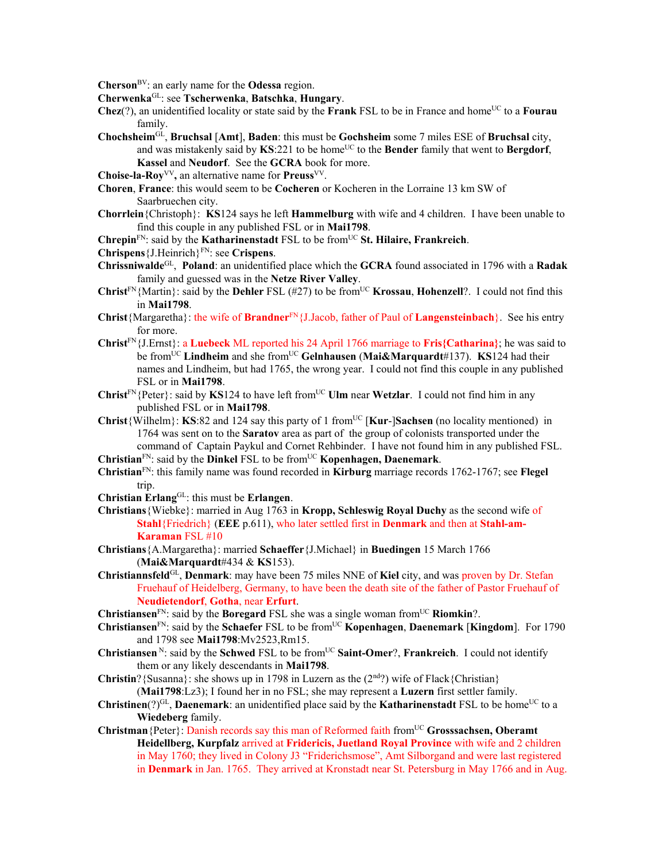**Cherson**BV: an early name for the **Odessa** region.

**Cherwenka**GL: see **Tscherwenka**, **Batschka**, **Hungary**.

- **Chez**(?), an unidentified locality or state said by the **Frank** FSL to be in France and home<sup>UC</sup> to a **Fourau** family.
- **Chochsheim**GL, **Bruchsal** [**Amt**], **Baden**: this must be **Gochsheim** some 7 miles ESE of **Bruchsal** city, and was mistakenly said by **KS**:221 to be home<sup>UC</sup> to the **Bender** family that went to **Bergdorf**, **Kassel** and **Neudorf**. See the **GCRA** book for more.
- **Choise-la-Roy**VV**,** an alternative name for **Preuss**VV.
- **Choren**, **France**: this would seem to be **Cocheren** or Kocheren in the Lorraine 13 km SW of Saarbruechen city.
- **Chorrlein**{Christoph}: **KS**124 says he left **Hammelburg** with wife and 4 children. I have been unable to find this couple in any published FSL or in **Mai1798**.
- **Chrepin**<sup>FN</sup>: said by the **Katharinenstadt** FSL to be from<sup>UC</sup> St. Hilaire, Frankreich.
- **Chrispens**{J.Heinrich}FN: see **Crispens**.
- **Chrissniwalde**GL, **Poland**: an unidentified place which the **GCRA** found associated in 1796 with a **Radak** family and guessed was in the **Netze River Valley**.
- **Christ**<sup>FN</sup>{Martin}: said by the **Dehler** FSL (#27) to be from<sup>UC</sup> **Krossau**, **Hohenzell**?. I could not find this in **Mai1798**.
- **Christ**{Margaretha}: the wife of **Brandner**FN{J.Jacob, father of Paul of **Langensteinbach**}. See his entry for more.
- **Christ**FN{J.Ernst}: a **Luebeck** ML reported his 24 April 1766 marriage to **Fris{Catharina}**; he was said to be fromUC **Lindheim** and she fromUC **Gelnhausen** (**Mai&Marquardt**#137). **KS**124 had their names and Lindheim, but had 1765, the wrong year. I could not find this couple in any published FSL or in **Mai1798**.
- **Christ**<sup>FN</sup>{Peter}: said by **KS**124 to have left from<sup>UC</sup> **Ulm** near **Wetzlar**. I could not find him in any published FSL or in **Mai1798**.
- **Christ**{Wilhelm}: **KS**:82 and 124 say this party of 1 fromUC [**Kur**-]**Sachsen** (no locality mentioned) in 1764 was sent on to the **Saratov** area as part of the group of colonists transported under the command of Captain Paykul and Cornet Rehbinder. I have not found him in any published FSL.
- **Christian**FN: said by the **Dinkel** FSL to be fromUC **Kopenhagen, Daenemark**.
- **Christian**FN: this family name was found recorded in **Kirburg** marriage records 1762-1767; see **Flegel** trip.
- **Christian Erlang**GL: this must be **Erlangen**.
- **Christians**{Wiebke}: married in Aug 1763 in **Kropp, Schleswig Royal Duchy** as the second wife of **Stahl**{Friedrich} (**EEE** p.611), who later settled first in **Denmark** and then at **Stahl-am-Karaman** FSL #10
- **Christians**{A.Margaretha}: married **Schaeffer**{J.Michael} in **Buedingen** 15 March 1766 (**Mai&Marquardt**#434 & **KS**153).
- **Christiannsfeld**GL, **Denmark**: may have been 75 miles NNE of **Kiel** city, and was proven by Dr. Stefan Fruehauf of Heidelberg, Germany, to have been the death site of the father of Pastor Fruehauf of **Neudietendorf**, **Gotha**, near **Erfurt**.
- **Christiansen**FN: said by the **Boregard** FSL she was a single woman fromUC **Riomkin**?.
- **Christiansen**FN: said by the **Schaefer** FSL to be fromUC **Kopenhagen**, **Daenemark** [**Kingdom**]. For 1790 and 1798 see **Mai1798**:Mv2523,Rm15.
- **Christiansen**<sup>N</sup>: said by the **Schwed** FSL to be from<sup>UC</sup> **Saint-Omer**?, **Frankreich**. I could not identify them or any likely descendants in **Mai1798**.
- **Christin**?{Susanna}: she shows up in 1798 in Luzern as the  $(2<sup>nd</sup>)$ ? wife of Flack{Christian} (**Mai1798**:Lz3); I found her in no FSL; she may represent a **Luzern** first settler family.
- **Christinen**( $?$ )<sup>GL</sup>, **Daenemark**: an unidentified place said by the **Katharinenstadt** FSL to be home<sup>UC</sup> to a **Wiedeberg** family.
- **Christman**{Peter}: Danish records say this man of Reformed faith fromUC **Grosssachsen, Oberamt Heidellberg, Kurpfalz** arrived at **Fridericis, Juetland Royal Province** with wife and 2 children in May 1760; they lived in Colony J3 "Friderichsmose", Amt Silborgand and were last registered in **Denmark** in Jan. 1765. They arrived at Kronstadt near St. Petersburg in May 1766 and in Aug.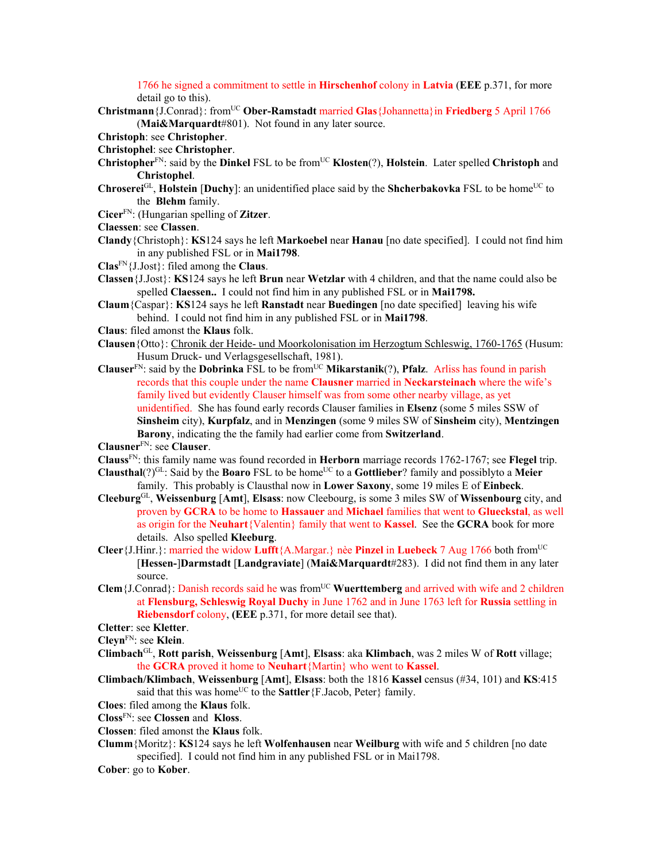1766 he signed a commitment to settle in **Hirschenhof** colony in **Latvia** (**EEE** p.371, for more detail go to this).

**Christmann**{J.Conrad}: fromUC **Ober-Ramstadt** married **Glas**{Johannetta}in **Friedberg** 5 April 1766 (**Mai&Marquardt**#801). Not found in any later source.

**Christoph**: see **Christopher**.

- **Christophel**: see **Christopher**.
- **Christopher**<sup>FN</sup>: said by the **Dinkel** FSL to be from<sup>UC</sup> **Klosten**(?), **Holstein**. Later spelled **Christoph** and **Christophel**.
- **Chroserei**<sup>GL</sup>, **Holstein** [Duchy]: an unidentified place said by the **Shcherbakovka** FSL to be home<sup>UC</sup> to the **Blehm** family.
- **Cicer**FN: (Hungarian spelling of **Zitzer**.
- **Claessen**: see **Classen**.
- **Clandy**{Christoph}: **KS**124 says he left **Markoebel** near **Hanau** [no date specified]. I could not find him in any published FSL or in **Mai1798**.
- **Clas**FN{J.Jost}: filed among the **Claus**.
- **Classen**{J.Jost}: **KS**124 says he left **Brun** near **Wetzlar** with 4 children, and that the name could also be spelled **Claessen..** I could not find him in any published FSL or in **Mai1798.**
- **Claum**{Caspar}: **KS**124 says he left **Ranstadt** near **Buedingen** [no date specified] leaving his wife behind. I could not find him in any published FSL or in **Mai1798**.
- **Claus**: filed amonst the **Klaus** folk.
- **Clausen**{Otto}: Chronik der Heide- und Moorkolonisation im Herzogtum Schleswig, 1760-1765 (Husum: Husum Druck- und Verlagsgesellschaft, 1981).
- **Clauser**<sup>FN</sup>: said by the **Dobrinka** FSL to be from<sup>UC</sup> **Mikarstanik**(?), **Pfalz**. Arliss has found in parish records that this couple under the name **Clausner** married in **Neckarsteinach** where the wife's family lived but evidently Clauser himself was from some other nearby village, as yet unidentified. She has found early records Clauser families in **Elsenz** (some 5 miles SSW of **Sinsheim** city), **Kurpfalz**, and in **Menzingen** (some 9 miles SW of **Sinsheim** city), **Mentzingen Barony**, indicating the the family had earlier come from **Switzerland**.

**Clausner**FN: see **Clauser**.

- **Clauss**FN: this family name was found recorded in **Herborn** marriage records 1762-1767; see **Flegel** trip.
- **Clausthal**( $?$ <sup>GL</sup>: Said by the **Boaro** FSL to be home<sup>UC</sup> to a **Gottlieber**? family and possiblyto a **Meier** family. This probably is Clausthal now in **Lower Saxony**, some 19 miles E of **Einbeck**.
- **Cleeburg**GL, **Weissenburg** [**Amt**], **Elsass**: now Cleebourg, is some 3 miles SW of **Wissenbourg** city, and proven by **GCRA** to be home to **Hassauer** and **Michael** families that went to **Glueckstal**, as well as origin for the **Neuhart**{Valentin} family that went to **Kassel**. See the **GCRA** book for more details. Also spelled **Kleeburg**.
- **Cleer** {J.Hinr.}: married the widow **Lufft** {A.Margar.} nèe **Pinzel** in **Luebeck** 7 Aug 1766 both from<sup>UC</sup> [**Hessen-**]**Darmstadt** [**Landgraviate**] (**Mai&Marquardt**#283). I did not find them in any later source.
- **Clem**{J.Conrad}: Danish records said he was from<sup>UC</sup> Wuerttemberg and arrived with wife and 2 children at **Flensburg, Schleswig Royal Duchy** in June 1762 and in June 1763 left for **Russia** settling in **Riebensdorf** colony, **(EEE** p.371, for more detail see that).

**Cletter**: see **Kletter**.

**Cleyn**FN: see **Klein**.

- **Climbach**GL, **Rott parish**, **Weissenburg** [**Amt**], **Elsass**: aka **Klimbach**, was 2 miles W of **Rott** village; the **GCRA** proved it home to **Neuhart**{Martin} who went to **Kassel**.
- **Climbach/Klimbach**, **Weissenburg** [**Amt**], **Elsass**: both the 1816 **Kassel** census (#34, 101) and **KS**:415 said that this was home<sup>UC</sup> to the **Sattler** {F.Jacob, Peter} family.
- **Cloes**: filed among the **Klaus** folk.
- **Closs**FN: see **Clossen** and **Kloss**.
- **Clossen**: filed amonst the **Klaus** folk.
- **Clumm**{Moritz}: **KS**124 says he left **Wolfenhausen** near **Weilburg** with wife and 5 children [no date specified]. I could not find him in any published FSL or in Mai1798.
- **Cober**: go to **Kober**.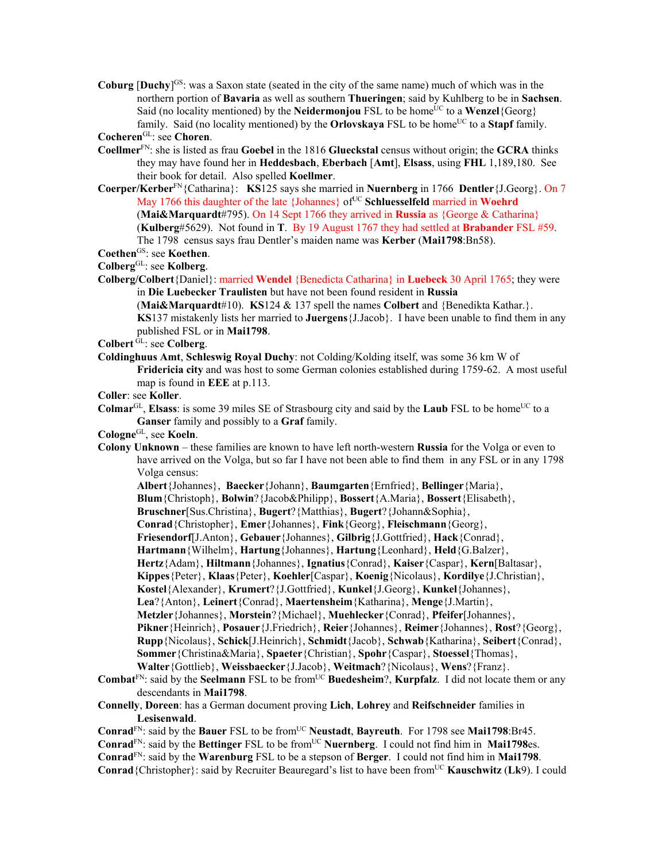**Coburg [Duchy**<sup>[GS</sup>: was a Saxon state (seated in the city of the same name) much of which was in the northern portion of **Bavaria** as well as southern **Thueringen**; said by Kuhlberg to be in **Sachsen**. Said (no locality mentioned) by the **Neidermonjou** FSL to be home<sup>UC</sup> to a **Wenzel**{Georg} family. Said (no locality mentioned) by the **Orlovskaya** FSL to be home<sup>UC</sup> to a **Stapf** family.

```
CocherenGL: see Choren.
```
- **Coellmer**FN: she is listed as frau **Goebel** in the 1816 **Glueckstal** census without origin; the **GCRA** thinks they may have found her in **Heddesbach**, **Eberbach** [**Amt**], **Elsass**, using **FHL** 1,189,180. See their book for detail. Also spelled **Koellmer**.
- **Coerper/Kerber**FN{Catharina}: **KS**125 says she married in **Nuernberg** in 1766 **Dentler**{J.Georg}. On 7 May 1766 this daughter of the late {Johannes} of<sup>UC</sup> Schluesselfeld married in Woehrd (**Mai&Marquardt**#795). On 14 Sept 1766 they arrived in **Russia** as {George & Catharina} (**Kulberg**#5629). Not found in **T**. By 19 August 1767 they had settled at **Brabander** FSL #59. The 1798 census says frau Dentler's maiden name was **Kerber** (**Mai1798**:Bn58).

Coethen<sup>GS</sup>: see Koethen.

**Colberg**GL: see **Kolberg**.

**Colberg/Colbert**{Daniel}: married **Wendel** {Benedicta Catharina} in **Luebeck** 30 April 1765; they were in **Die Luebecker Traulisten** but have not been found resident in **Russia**

(**Mai&Marquardt**#10). **KS**124 & 137 spell the names **Colbert** and {Benedikta Kathar.}. **KS**137 mistakenly lists her married to **Juergens**{J.Jacob}. I have been unable to find them in any published FSL or in **Mai1798**.

- **Colbert** GL: see **Colberg**.
- **Coldinghuus Amt**, **Schleswig Royal Duchy**: not Colding/Kolding itself, was some 36 km W of **Fridericia city** and was host to some German colonies established during 1759-62. A most useful map is found in **EEE** at p.113.
- **Coller**: see **Koller**.
- **Colmar**<sup>GL</sup>, **Elsass**: is some 39 miles SE of Strasbourg city and said by the **Laub** FSL to be home<sup>UC</sup> to a **Ganser** family and possibly to a **Graf** family.
- **Cologne**GL, see **Koeln**.
- **Colony Unknown** these families are known to have left north-western **Russia** for the Volga or even to have arrived on the Volga, but so far I have not been able to find them in any FSL or in any 1798 Volga census:
	- **Albert**{Johannes}, **Baecker**{Johann}, **Baumgarten**{Ernfried}, **Bellinger**{Maria},
	- **Blum**{Christoph}, **Bolwin**?{Jacob&Philipp}, **Bossert**{A.Maria}, **Bossert**{Elisabeth},
	- **Bruschner**[Sus.Christina}, **Bugert**?{Matthias}, **Bugert**?{Johann&Sophia},
	- **Conrad**{Christopher}, **Emer**{Johannes}, **Fink**{Georg}, **Fleischmann**{Georg},
	- **Friesendorf**[J.Anton}, **Gebauer**{Johannes}, **Gilbrig**{J.Gottfried}, **Hack**{Conrad},
	- **Hartmann**{Wilhelm}, **Hartung**{Johannes}, **Hartung**{Leonhard}, **Held**{G.Balzer},
	- **Hertz**{Adam}, **Hiltmann**{Johannes}, **Ignatius**{Conrad}, **Kaiser**{Caspar}, **Kern**[Baltasar},
	- **Kippes**{Peter}, **Klaas**{Peter}, **Koehler**[Caspar}, **Koenig**{Nicolaus}, **Kordilye**{J.Christian},
	- **Kostel**{Alexander}, **Krumert**?{J.Gottfried}, **Kunkel**{J.Georg}, **Kunkel**{Johannes},
	- **Lea**?{Anton}, **Leinert**{Conrad}, **Maertensheim**{Katharina}, **Menge**{J.Martin},
	- **Metzler**{Johannes}, **Morstein**?{Michael}, **Muehlecker**{Conrad}, **Pfeifer**[Johannes},
	- **Pikner**{Heinrich}, **Posauer**{J.Friedrich}, **Reier**{Johannes}, **Reimer**{Johannes}, **Rost**?{Georg},
	- **Rupp**{Nicolaus}, **Schick**[J.Heinrich}, **Schmidt**{Jacob}, **Schwab**{Katharina}, **Seibert**{Conrad}, **Sommer**{Christina&Maria}, **Spaeter**{Christian}, **Spohr**{Caspar}, **Stoessel**{Thomas},
	- **Walter**{Gottlieb}, **Weissbaecker**{J.Jacob}, **Weitmach**?{Nicolaus}, **Wens**?{Franz}.
- **Combat**<sup>FN</sup>: said by the **Seelmann** FSL to be from<sup>UC</sup> **Buedesheim**?, **Kurpfalz**. I did not locate them or any descendants in **Mai1798**.
- **Connelly**, **Doreen**: has a German document proving **Lich**, **Lohrey** and **Reifschneider** families in **Lesisenwald**.
- **Conrad**<sup>FN</sup>: said by the **Bauer** FSL to be from<sup>UC</sup> **Neustadt**, **Bayreuth**. For 1798 see **Mai1798**:Br45.
- **Conrad**<sup>FN</sup>: said by the **Bettinger** FSL to be from<sup>UC</sup> **Nuernberg**. I could not find him in **Mai1798**es.
- **Conrad**FN: said by the **Warenburg** FSL to be a stepson of **Berger**. I could not find him in **Mai1798**.
- **Conrad**{Christopher}: said by Recruiter Beauregard's list to have been fromUC **Kauschwitz** (**Lk**9). I could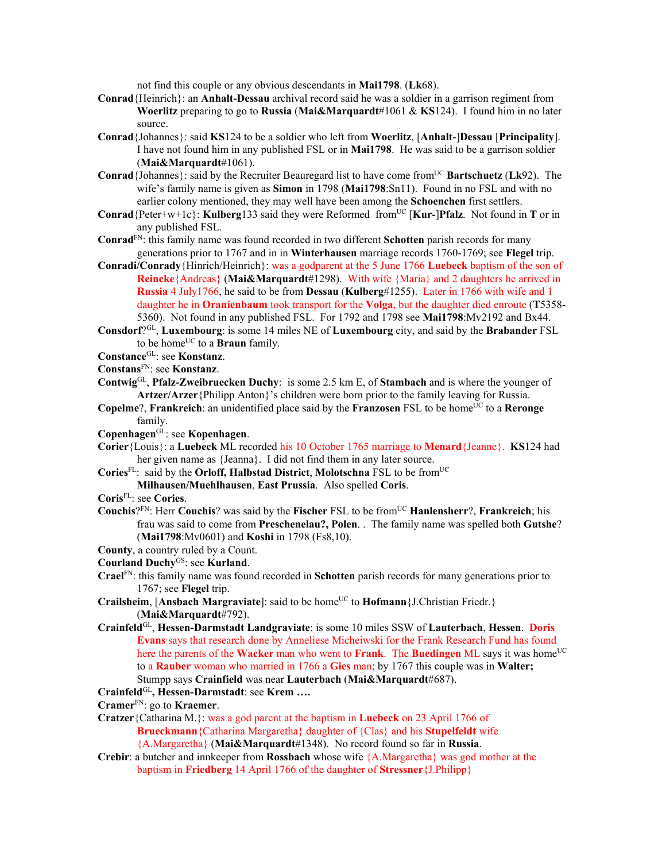not find this couple or any obvious descendants in **Mai1798**. (**Lk**68).

- **Conrad**{Heinrich}: an **Anhalt-Dessau** archival record said he was a soldier in a garrison regiment from **Woerlitz** preparing to go to **Russia** (**Mai&Marquardt**#1061 & **KS**124). I found him in no later source.
- **Conrad**{Johannes}: said **KS**124 to be a soldier who left from **Woerlitz**, [**Anhalt**-]**Dessau** [**Principality**]. I have not found him in any published FSL or in **Mai1798**. He was said to be a garrison soldier (**Mai&Marquardt**#1061).
- **Conrad**{Johannes}: said by the Recruiter Beauregard list to have come from<sup>UC</sup> **Bartschuetz** (Lk92). The wife's family name is given as **Simon** in 1798 (**Mai1798**:Sn11). Found in no FSL and with no earlier colony mentioned, they may well have been among the **Schoenchen** first settlers.
- **Conrad**{Peter+w+1c}: **Kulberg**133 said they were Reformed from<sup>UC</sup> [**Kur-**]Pfalz. Not found in **T** or in any published FSL.
- **Conrad**FN: this family name was found recorded in two different **Schotten** parish records for many generations prior to 1767 and in in **Winterhausen** marriage records 1760-1769; see **Flegel** trip.
- **Conradi/Conrady**{Hinrich/Heinrich}: was a godparent at the 5 June 1766 **Luebeck** baptism of the son of **Reincke**{Andreas} (**Mai&Marquardt**#1298). With wife {Maria} and 2 daughters he arrived in **Russia** 4 July1766, he said to be from **Dessau** (**Kulberg**#1255). Later in 1766 with wife and 1 daughter he in **Oranienbaum** took transport for the **Volga**, but the daughter died enroute (**T**5358- 5360). Not found in any published FSL. For 1792 and 1798 see **Mai1798**:Mv2192 and Bx44.
- **Consdorf**?GL, **Luxembourg**: is some 14 miles NE of **Luxembourg** city, and said by the **Brabander** FSL to be home<sup>UC</sup> to a **Braun** family.
- **Constance**GL: see **Konstanz**.
- **Constans**FN: see **Konstanz**.
- **Contwig**GL, **Pfalz-Zweibruecken Duchy**: is some 2.5 km E, of **Stambach** and is where the younger of **Artzer/Arzer**{Philipp Anton}'s children were born prior to the family leaving for Russia.
- **Copelme**?, **Frankreich**: an unidentified place said by the **Franzosen** FSL to be home<sup>UC</sup> to a **Reronge** family.
- **Copenhagen**GL: see **Kopenhagen**.
- **Corier**{Louis}: a **Luebeck** ML recorded his 10 October 1765 marriage to **Menard**{Jeanne}. **KS**124 had her given name as {Jeanna}. I did not find them in any later source.
- **Cories**FL: said by the **Orloff, Halbstad District**, **Molotschna** FSL to be fromUC
	- **Milhausen/Muehlhausen**, **East Prussia**.Also spelled **Coris**.
- **Coris**FL: see **Cories**.
- **Couchis**?FN: Herr **Couchis**? was said by the **Fischer** FSL to be fromUC **Hanlensherr**?, **Frankreich**; his frau was said to come from **Preschenelau?, Polen**. . The family name was spelled both **Gutshe**? (**Mai1798**:Mv0601) and **Koshi** in 1798 (Fs8,10).
- **County**, a country ruled by a Count.
- **Courland Duchy**GS: see **Kurland**.
- **Crael**FN: this family name was found recorded in **Schotten** parish records for many generations prior to 1767; see **Flegel** trip.
- **Crailsheim, [Ansbach Margraviate]:** said to be home<sup>UC</sup> to **Hofmann** {J.Christian Friedr.} (**Mai&Marquardt**#792).
- **Crainfeld**GL, **Hessen-Darmstadt Landgraviate**: is some 10 miles SSW of **Lauterbach**, **Hessen**. **Doris Evans** says that research done by Anneliese Micheiwski for the Frank Research Fund has found here the parents of the **Wacker** man who went to **Frank**. The **Buedingen** ML says it was home<sup>UC</sup> to a **Rauber** woman who married in 1766 a **Gies** man; by 1767 this couple was in **Walter;**  Stumpp says **Crainfield** was near **Lauterbach** (**Mai&Marquardt**#687).
- **Crainfeld**GL**, Hessen-Darmstadt**: see **Krem ….**
- **Cramer**FN: go to **Kraemer**.
- **Cratzer**{Catharina M.}: was a god parent at the baptism in **Luebeck** on 23 April 1766 of **Brueckmann**{Catharina Margaretha} daughter of {Clas} and his **Stupelfeldt** wife {A.Margaretha} (**Mai&Marquardt**#1348). No record found so far in **Russia**.
- **Crebir**: a butcher and innkeeper from **Rossbach** whose wife {A.Margaretha} was god mother at the baptism in **Friedberg** 14 April 1766 of the daughter of **Stressner**{J.Philipp}